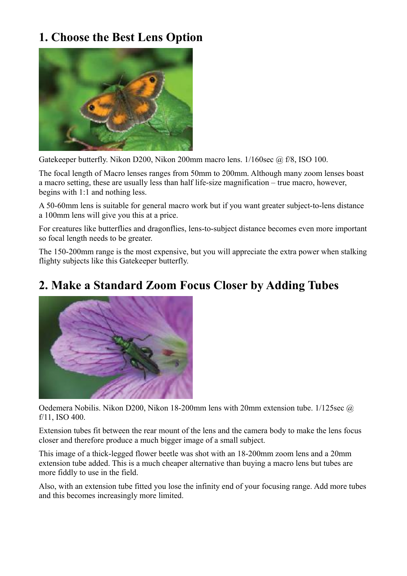## **1. Choose the Best Lens Option**



Gatekeeper butterfly. Nikon D200, Nikon 200mm macro lens. 1/160sec @ f/8, ISO 100.

The focal length of Macro lenses ranges from 50mm to 200mm. Although many zoom lenses boast a macro setting, these are usually less than half life-size magnification – true macro, however, begins with 1:1 and nothing less.

A 50-60mm lens is suitable for general macro work but if you want greater subject-to-lens distance a 100mm lens will give you this at a price.

For creatures like butterflies and dragonflies, lens-to-subject distance becomes even more important so focal length needs to be greater.

The 150-200mm range is the most expensive, but you will appreciate the extra power when stalking flighty subjects like this Gatekeeper butterfly.

#### **2. Make a Standard Zoom Focus Closer by Adding Tubes**



Oedemera Nobilis. Nikon D200, Nikon 18-200mm lens with 20mm extension tube. 1/125sec @ f/11, ISO 400.

Extension tubes fit between the rear mount of the lens and the camera body to make the lens focus closer and therefore produce a much bigger image of a small subject.

This image of a thick-legged flower beetle was shot with an 18-200mm zoom lens and a 20mm extension tube added. This is a much cheaper alternative than buying a macro lens but tubes are more fiddly to use in the field.

Also, with an extension tube fitted you lose the infinity end of your focusing range. Add more tubes and this becomes increasingly more limited.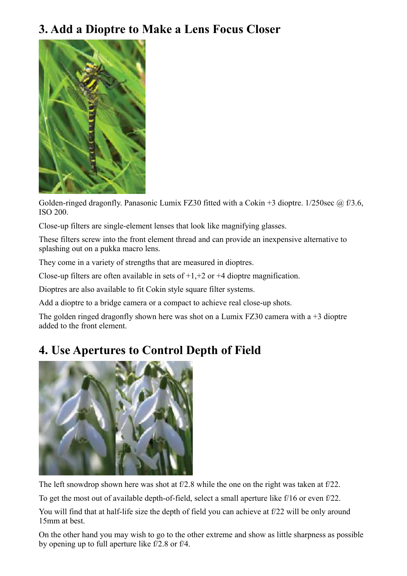### **3. Add a Dioptre to Make a Lens Focus Closer**



Golden-ringed dragonfly. Panasonic Lumix FZ30 fitted with a Cokin +3 dioptre. 1/250sec @ f/3.6, ISO 200.

Close-up filters are single-element lenses that look like magnifying glasses.

These filters screw into the front element thread and can provide an inexpensive alternative to splashing out on a pukka macro lens.

They come in a variety of strengths that are measured in dioptres.

Close-up filters are often available in sets of  $+1,+2$  or  $+4$  dioptre magnification.

Dioptres are also available to fit Cokin style square filter systems.

Add a dioptre to a bridge camera or a compact to achieve real close-up shots.

The golden ringed dragonfly shown here was shot on a Lumix FZ30 camera with a  $+3$  dioptre added to the front element.

### **4. Use Apertures to Control Depth of Field**



The left snowdrop shown here was shot at f/2.8 while the one on the right was taken at f/22.

To get the most out of available depth-of-field, select a small aperture like f/16 or even f/22.

You will find that at half-life size the depth of field you can achieve at f/22 will be only around 15mm at best.

On the other hand you may wish to go to the other extreme and show as little sharpness as possible by opening up to full aperture like f/2.8 or f/4.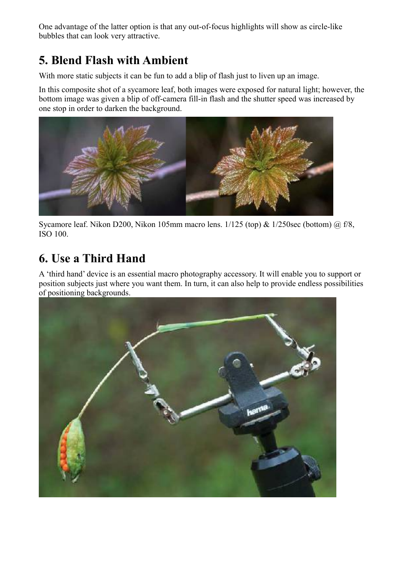One advantage of the latter option is that any out-of-focus highlights will show as circle-like bubbles that can look very attractive.

## **5. Blend Flash with Ambient**

With more static subjects it can be fun to add a blip of flash just to liven up an image.

In this composite shot of a sycamore leaf, both images were exposed for natural light; however, the bottom image was given a blip of off-camera fill-in flash and the shutter speed was increased by one stop in order to darken the background.



Sycamore leaf. Nikon D200, Nikon 105mm macro lens.  $1/125$  (top) &  $1/250$ sec (bottom)  $\omega$  f/8, ISO 100.

# **6. Use a Third Hand**

A 'third hand' device is an essential macro photography accessory. It will enable you to support or position subjects just where you want them. In turn, it can also help to provide endless possibilities of positioning backgrounds.

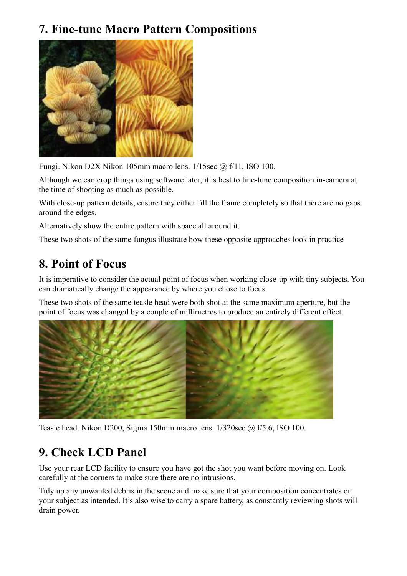## **7. Fine-tune Macro Pattern Compositions**



Fungi. Nikon D2X Nikon 105mm macro lens. 1/15sec @ f/11, ISO 100.

Although we can crop things using software later, it is best to fine-tune composition in-camera at the time of shooting as much as possible.

With close-up pattern details, ensure they either fill the frame completely so that there are no gaps around the edges.

Alternatively show the entire pattern with space all around it.

These two shots of the same fungus illustrate how these opposite approaches look in practice

## **8. Point of Focus**

It is imperative to consider the actual point of focus when working close-up with tiny subjects. You can dramatically change the appearance by where you chose to focus.

These two shots of the same teasle head were both shot at the same maximum aperture, but the point of focus was changed by a couple of millimetres to produce an entirely different effect.



Teasle head. Nikon D200, Sigma 150mm macro lens. 1/320sec @ f/5.6, ISO 100.

# **9. Check LCD Panel**

Use your rear LCD facility to ensure you have got the shot you want before moving on. Look carefully at the corners to make sure there are no intrusions.

Tidy up any unwanted debris in the scene and make sure that your composition concentrates on your subject as intended. It's also wise to carry a spare battery, as constantly reviewing shots will drain power.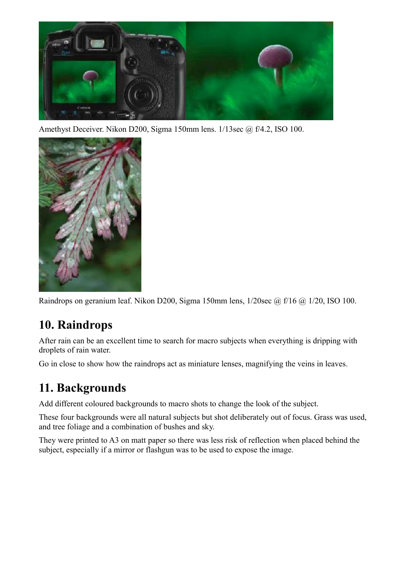

Amethyst Deceiver. Nikon D200, Sigma 150mm lens. 1/13sec @ f/4.2, ISO 100.



Raindrops on geranium leaf. Nikon D200, Sigma 150mm lens, 1/20sec @ f/16 @ 1/20, ISO 100.

## **10. Raindrops**

After rain can be an excellent time to search for macro subjects when everything is dripping with droplets of rain water.

Go in close to show how the raindrops act as miniature lenses, magnifying the veins in leaves.

### **11. Backgrounds**

Add different coloured backgrounds to macro shots to change the look of the subject.

These four backgrounds were all natural subjects but shot deliberately out of focus. Grass was used, and tree foliage and a combination of bushes and sky.

They were printed to A3 on matt paper so there was less risk of reflection when placed behind the subject, especially if a mirror or flashgun was to be used to expose the image.